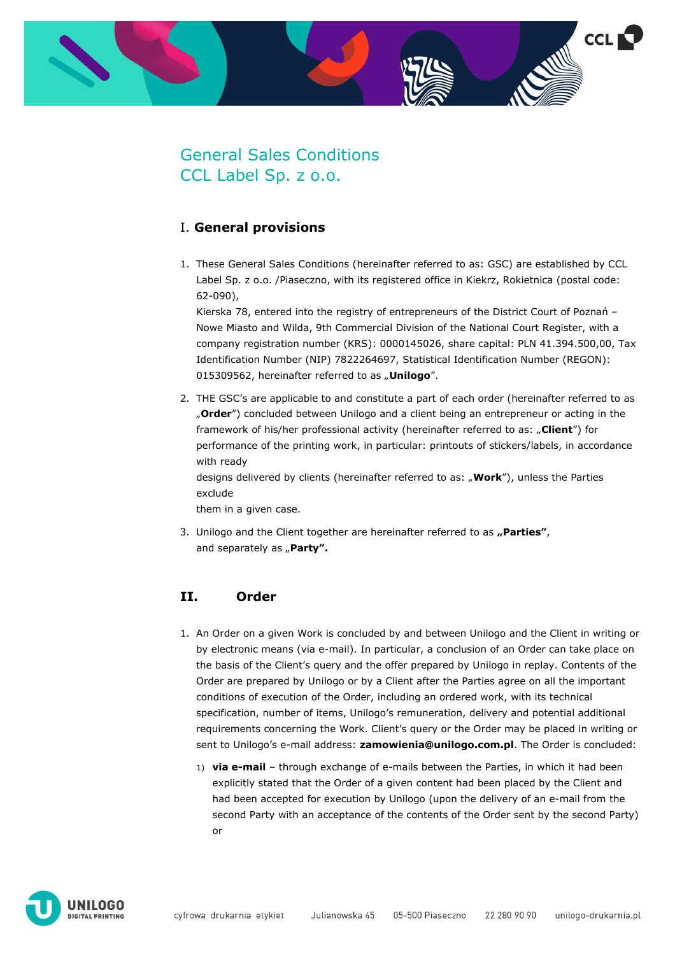

# General Sales Conditions CCL Label Sp. z o.o.

### I. **General provisions**

1. These General Sales Conditions (hereinafter referred to as: GSC) are established by CCL Label Sp. z o.o. /Piaseczno, with its registered office in Kiekrz, Rokietnica (postal code: 62-090),

Kierska 78, entered into the registry of entrepreneurs of the District Court of Poznań – Nowe Miasto and Wilda, 9th Commercial Division of the National Court Register, with a company registration number (KRS): 0000145026, share capital: PLN 41.394.500,00, Tax Identification Number (NIP) 7822264697, Statistical Identification Number (REGON): 015309562, hereinafter referred to as "**Unilogo**".

2. THE GSC's are applicable to and constitute a part of each order (hereinafter referred to as "**Order**") concluded between Unilogo and a client being an entrepreneur or acting in the framework of his/her professional activity (hereinafter referred to as: "**Client**") for performance of the printing work, in particular: printouts of stickers/labels, in accordance with ready

designs delivered by clients (hereinafter referred to as: "**Work**"), unless the Parties exclude

them in a given case.

3. Unilogo and the Client together are hereinafter referred to as "Parties", and separately as "Party".

### **II. Order**

- 1. An Order on a given Work is concluded by and between Unilogo and the Client in writing or by electronic means (via e-mail). In particular, a conclusion of an Order can take place on the basis of the Client's query and the offer prepared by Unilogo in replay. Contents of the Order are prepared by Unilogo or by a Client after the Parties agree on all the important conditions of execution of the Order, including an ordered work, with its technical specification, number of items, Unilogo's remuneration, delivery and potential additional requirements concerning the Work. Client's query or the Order may be placed in writing or sent to Unilogo's e-mail address: **zamowienia@unilogo.com.pl**. The Order is concluded:
	- 1) **via e-mail** through exchange of e-mails between the Parties, in which it had been explicitly stated that the Order of a given content had been placed by the Client and had been accepted for execution by Unilogo (upon the delivery of an e-mail from the second Party with an acceptance of the contents of the Order sent by the second Party) or

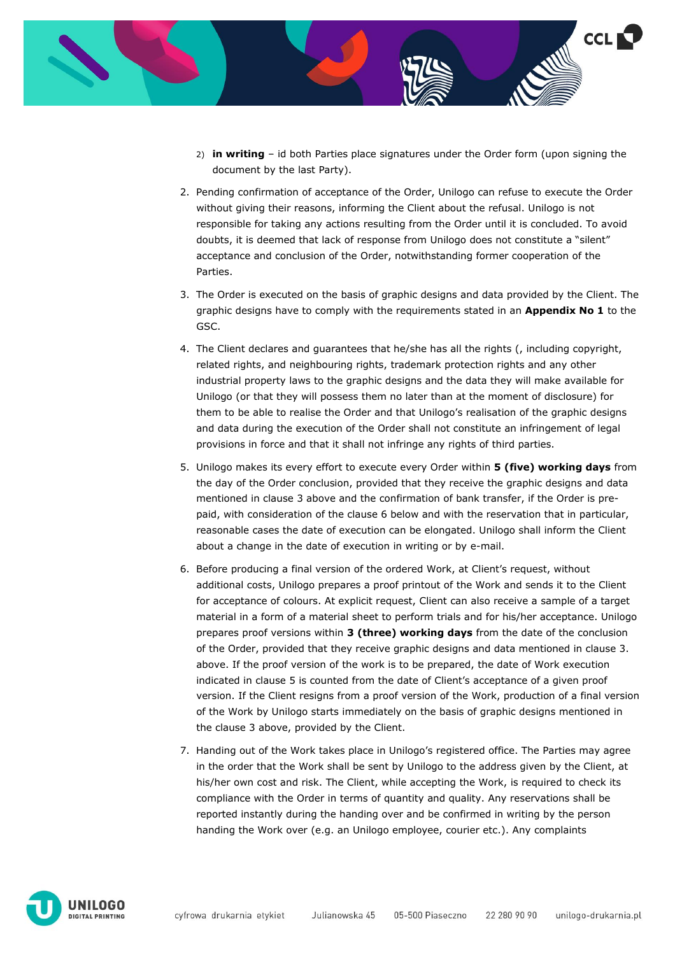

- 2) **in writing** id both Parties place signatures under the Order form (upon signing the document by the last Party).
- 2. Pending confirmation of acceptance of the Order, Unilogo can refuse to execute the Order without giving their reasons, informing the Client about the refusal. Unilogo is not responsible for taking any actions resulting from the Order until it is concluded. To avoid doubts, it is deemed that lack of response from Unilogo does not constitute a "silent" acceptance and conclusion of the Order, notwithstanding former cooperation of the Parties.
- 3. The Order is executed on the basis of graphic designs and data provided by the Client. The graphic designs have to comply with the requirements stated in an **Appendix No 1** to the GSC.
- 4. The Client declares and guarantees that he/she has all the rights (, including copyright, related rights, and neighbouring rights, trademark protection rights and any other industrial property laws to the graphic designs and the data they will make available for Unilogo (or that they will possess them no later than at the moment of disclosure) for them to be able to realise the Order and that Unilogo's realisation of the graphic designs and data during the execution of the Order shall not constitute an infringement of legal provisions in force and that it shall not infringe any rights of third parties.
- 5. Unilogo makes its every effort to execute every Order within **5 (five) working days** from the day of the Order conclusion, provided that they receive the graphic designs and data mentioned in clause 3 above and the confirmation of bank transfer, if the Order is prepaid, with consideration of the clause 6 below and with the reservation that in particular, reasonable cases the date of execution can be elongated. Unilogo shall inform the Client about a change in the date of execution in writing or by e-mail.
- 6. Before producing a final version of the ordered Work, at Client's request, without additional costs, Unilogo prepares a proof printout of the Work and sends it to the Client for acceptance of colours. At explicit request, Client can also receive a sample of a target material in a form of a material sheet to perform trials and for his/her acceptance. Unilogo prepares proof versions within **3 (three) working days** from the date of the conclusion of the Order, provided that they receive graphic designs and data mentioned in clause 3. above. If the proof version of the work is to be prepared, the date of Work execution indicated in clause 5 is counted from the date of Client's acceptance of a given proof version. If the Client resigns from a proof version of the Work, production of a final version of the Work by Unilogo starts immediately on the basis of graphic designs mentioned in the clause 3 above, provided by the Client.
- 7. Handing out of the Work takes place in Unilogo's registered office. The Parties may agree in the order that the Work shall be sent by Unilogo to the address given by the Client, at his/her own cost and risk. The Client, while accepting the Work, is required to check its compliance with the Order in terms of quantity and quality. Any reservations shall be reported instantly during the handing over and be confirmed in writing by the person handing the Work over (e.g. an Unilogo employee, courier etc.). Any complaints

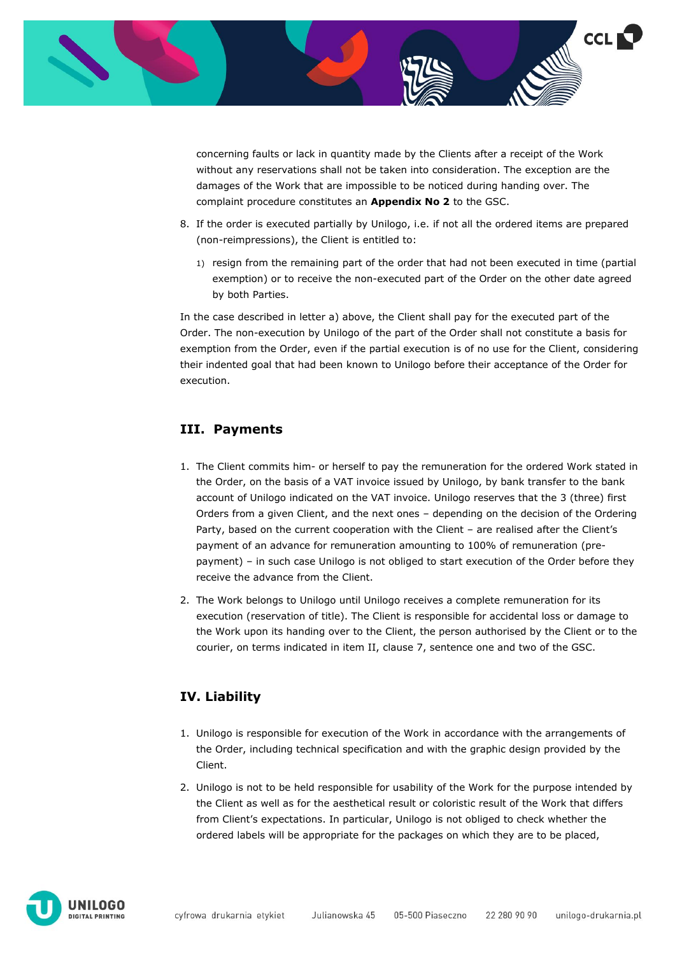

concerning faults or lack in quantity made by the Clients after a receipt of the Work without any reservations shall not be taken into consideration. The exception are the damages of the Work that are impossible to be noticed during handing over. The complaint procedure constitutes an **Appendix No 2** to the GSC.

- 8. If the order is executed partially by Unilogo, i.e. if not all the ordered items are prepared (non-reimpressions), the Client is entitled to:
	- 1) resign from the remaining part of the order that had not been executed in time (partial exemption) or to receive the non-executed part of the Order on the other date agreed by both Parties.

In the case described in letter a) above, the Client shall pay for the executed part of the Order. The non-execution by Unilogo of the part of the Order shall not constitute a basis for exemption from the Order, even if the partial execution is of no use for the Client, considering their indented goal that had been known to Unilogo before their acceptance of the Order for execution.

### **III. Payments**

- 1. The Client commits him- or herself to pay the remuneration for the ordered Work stated in the Order, on the basis of a VAT invoice issued by Unilogo, by bank transfer to the bank account of Unilogo indicated on the VAT invoice. Unilogo reserves that the 3 (three) first Orders from a given Client, and the next ones – depending on the decision of the Ordering Party, based on the current cooperation with the Client – are realised after the Client's payment of an advance for remuneration amounting to 100% of remuneration (prepayment) – in such case Unilogo is not obliged to start execution of the Order before they receive the advance from the Client.
- 2. The Work belongs to Unilogo until Unilogo receives a complete remuneration for its execution (reservation of title). The Client is responsible for accidental loss or damage to the Work upon its handing over to the Client, the person authorised by the Client or to the courier, on terms indicated in item II, clause 7, sentence one and two of the GSC.

### **IV. Liability**

- 1. Unilogo is responsible for execution of the Work in accordance with the arrangements of the Order, including technical specification and with the graphic design provided by the Client.
- 2. Unilogo is not to be held responsible for usability of the Work for the purpose intended by the Client as well as for the aesthetical result or coloristic result of the Work that differs from Client's expectations. In particular, Unilogo is not obliged to check whether the ordered labels will be appropriate for the packages on which they are to be placed,

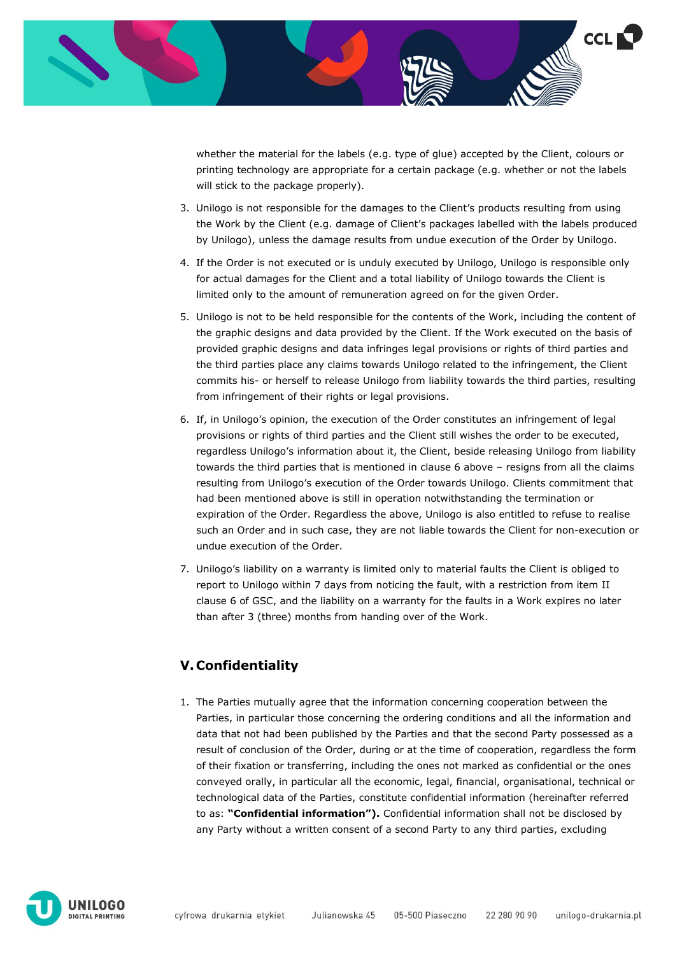

whether the material for the labels (e.g. type of glue) accepted by the Client, colours or printing technology are appropriate for a certain package (e.g. whether or not the labels will stick to the package properly).

- 3. Unilogo is not responsible for the damages to the Client's products resulting from using the Work by the Client (e.g. damage of Client's packages labelled with the labels produced by Unilogo), unless the damage results from undue execution of the Order by Unilogo.
- 4. If the Order is not executed or is unduly executed by Unilogo, Unilogo is responsible only for actual damages for the Client and a total liability of Unilogo towards the Client is limited only to the amount of remuneration agreed on for the given Order.
- 5. Unilogo is not to be held responsible for the contents of the Work, including the content of the graphic designs and data provided by the Client. If the Work executed on the basis of provided graphic designs and data infringes legal provisions or rights of third parties and the third parties place any claims towards Unilogo related to the infringement, the Client commits his- or herself to release Unilogo from liability towards the third parties, resulting from infringement of their rights or legal provisions.
- 6. If, in Unilogo's opinion, the execution of the Order constitutes an infringement of legal provisions or rights of third parties and the Client still wishes the order to be executed, regardless Unilogo's information about it, the Client, beside releasing Unilogo from liability towards the third parties that is mentioned in clause 6 above – resigns from all the claims resulting from Unilogo's execution of the Order towards Unilogo. Clients commitment that had been mentioned above is still in operation notwithstanding the termination or expiration of the Order. Regardless the above, Unilogo is also entitled to refuse to realise such an Order and in such case, they are not liable towards the Client for non-execution or undue execution of the Order.
- 7. Unilogo's liability on a warranty is limited only to material faults the Client is obliged to report to Unilogo within 7 days from noticing the fault, with a restriction from item II clause 6 of GSC, and the liability on a warranty for the faults in a Work expires no later than after 3 (three) months from handing over of the Work.

### **V. Confidentiality**

1. The Parties mutually agree that the information concerning cooperation between the Parties, in particular those concerning the ordering conditions and all the information and data that not had been published by the Parties and that the second Party possessed as a result of conclusion of the Order, during or at the time of cooperation, regardless the form of their fixation or transferring, including the ones not marked as confidential or the ones conveyed orally, in particular all the economic, legal, financial, organisational, technical or technological data of the Parties, constitute confidential information (hereinafter referred to as: **"Confidential information").** Confidential information shall not be disclosed by any Party without a written consent of a second Party to any third parties, excluding

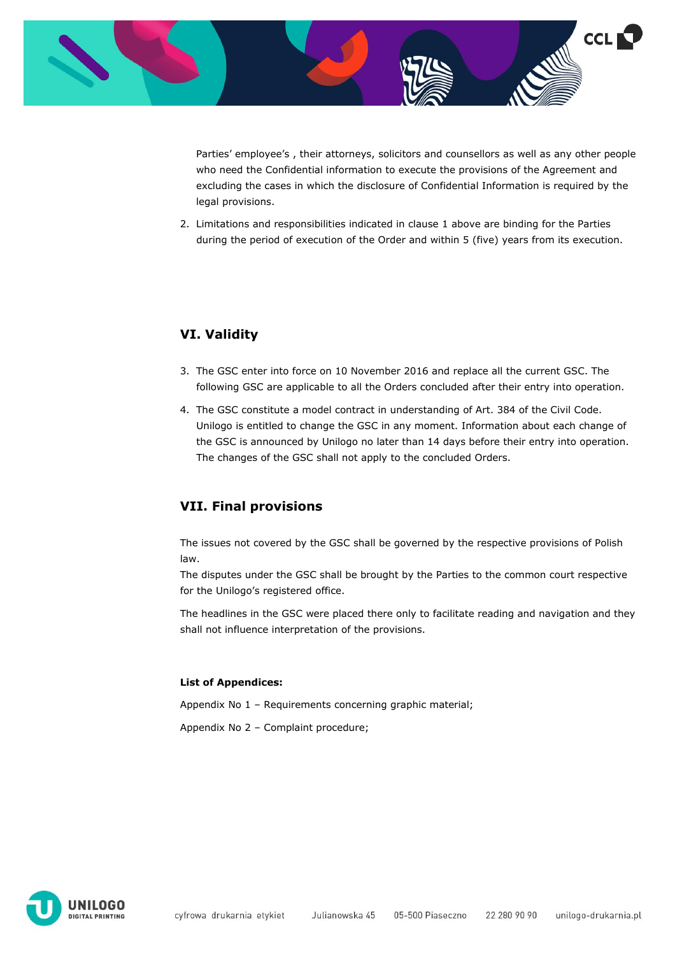

Parties' employee's , their attorneys, solicitors and counsellors as well as any other people who need the Confidential information to execute the provisions of the Agreement and excluding the cases in which the disclosure of Confidential Information is required by the legal provisions.

2. Limitations and responsibilities indicated in clause 1 above are binding for the Parties during the period of execution of the Order and within 5 (five) years from its execution.

### **VI. Validity**

- 3. The GSC enter into force on 10 November 2016 and replace all the current GSC. The following GSC are applicable to all the Orders concluded after their entry into operation.
- 4. The GSC constitute a model contract in understanding of Art. 384 of the Civil Code. Unilogo is entitled to change the GSC in any moment. Information about each change of the GSC is announced by Unilogo no later than 14 days before their entry into operation. The changes of the GSC shall not apply to the concluded Orders.

### **VII. Final provisions**

The issues not covered by the GSC shall be governed by the respective provisions of Polish law.

The disputes under the GSC shall be brought by the Parties to the common court respective for the Unilogo's registered office.

The headlines in the GSC were placed there only to facilitate reading and navigation and they shall not influence interpretation of the provisions.

#### **List of Appendices:**

Appendix No 1 – Requirements concerning graphic material;

Appendix No 2 – Complaint procedure;

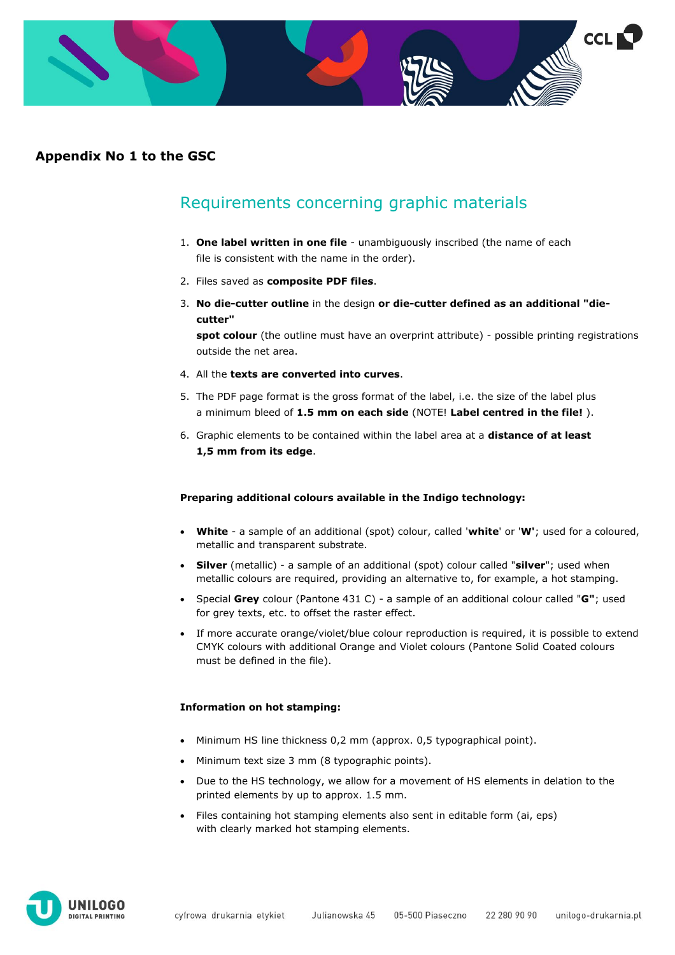

### **Appendix No 1 to the GSC**

## Requirements concerning graphic materials

- 1. **One label written in one file** unambiguously inscribed (the name of each file is consistent with the name in the order).
- 2. Files saved as **composite PDF files**.
- 3. **No die-cutter outline** in the design **or die-cutter defined as an additional "diecutter"**

**spot colour** (the outline must have an overprint attribute) - possible printing registrations outside the net area.

- 4. All the **texts are converted into curves**.
- 5. The PDF page format is the gross format of the label, i.e. the size of the label plus a minimum bleed of **1.5 mm on each side** (NOTE! **Label centred in the file!** ).
- 6. Graphic elements to be contained within the label area at a **distance of at least 1,5 mm from its edge**.

#### **Preparing additional colours available in the Indigo technology:**

- **White** a sample of an additional (spot) colour, called '**white**' or '**W'**; used for a coloured, metallic and transparent substrate.
- **Silver** (metallic) a sample of an additional (spot) colour called "**silver**"; used when metallic colours are required, providing an alternative to, for example, a hot stamping.
- Special **Grey** colour (Pantone 431 C) a sample of an additional colour called "**G"**; used for grey texts, etc. to offset the raster effect.
- If more accurate orange/violet/blue colour reproduction is required, it is possible to extend CMYK colours with additional Orange and Violet colours (Pantone Solid Coated colours must be defined in the file).

#### **Information on hot stamping:**

- Minimum HS line thickness 0,2 mm (approx. 0,5 typographical point).
- Minimum text size 3 mm (8 typographic points).
- Due to the HS technology, we allow for a movement of HS elements in delation to the printed elements by up to approx. 1.5 mm.
- Files containing hot stamping elements also sent in editable form (ai, eps) with clearly marked hot stamping elements.